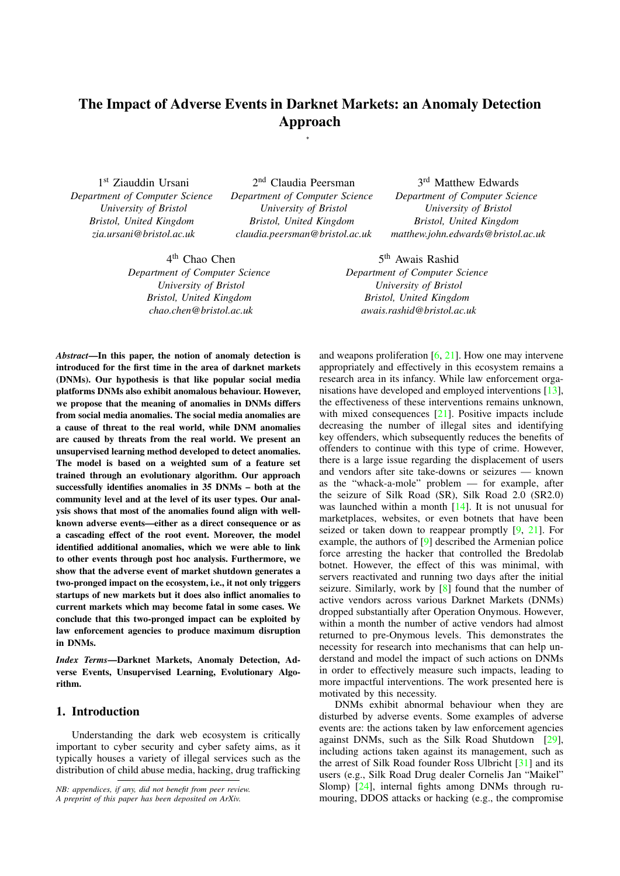# The Impact of Adverse Events in Darknet Markets: an Anomaly Detection Approach

\*

1 st Ziauddin Ursani *Department of Computer Science University of Bristol Bristol, United Kingdom zia.ursani@bristol.ac.uk*

2<sup>nd</sup> Claudia Peersman *Department of Computer Science University of Bristol Bristol, United Kingdom claudia.peersman@bristol.ac.uk*

3 rd Matthew Edwards *Department of Computer Science University of Bristol Bristol, United Kingdom matthew.john.edwards@bristol.ac.uk*

4 th Chao Chen *Department of Computer Science University of Bristol Bristol, United Kingdom chao.chen@bristol.ac.uk*

5<sup>th</sup> Awais Rashid *Department of Computer Science University of Bristol Bristol, United Kingdom awais.rashid@bristol.ac.uk*

*Abstract*—In this paper, the notion of anomaly detection is introduced for the first time in the area of darknet markets (DNMs). Our hypothesis is that like popular social media platforms DNMs also exhibit anomalous behaviour. However, we propose that the meaning of anomalies in DNMs differs from social media anomalies. The social media anomalies are a cause of threat to the real world, while DNM anomalies are caused by threats from the real world. We present an unsupervised learning method developed to detect anomalies. The model is based on a weighted sum of a feature set trained through an evolutionary algorithm. Our approach successfully identifies anomalies in 35 DNMs – both at the community level and at the level of its user types. Our analysis shows that most of the anomalies found align with wellknown adverse events—either as a direct consequence or as a cascading effect of the root event. Moreover, the model identified additional anomalies, which we were able to link to other events through post hoc analysis. Furthermore, we show that the adverse event of market shutdown generates a two-pronged impact on the ecosystem, i.e., it not only triggers startups of new markets but it does also inflict anomalies to current markets which may become fatal in some cases. We conclude that this two-pronged impact can be exploited by law enforcement agencies to produce maximum disruption in DNMs.

*Index Terms*—Darknet Markets, Anomaly Detection, Adverse Events, Unsupervised Learning, Evolutionary Algorithm.

## 1. Introduction

Understanding the dark web ecosystem is critically important to cyber security and cyber safety aims, as it typically houses a variety of illegal services such as the distribution of child abuse media, hacking, drug trafficking

*NB: appendices, if any, did not benefit from peer review. A preprint of this paper has been deposited on ArXiv.*

and weapons proliferation  $[6, 21]$ . How one may intervene appropriately and effectively in this ecosystem remains a research area in its infancy. While law enforcement organisations have developed and employed interventions [13], the effectiveness of these interventions remains unknown, with mixed consequences [21]. Positive impacts include decreasing the number of illegal sites and identifying key offenders, which subsequently reduces the benefits of offenders to continue with this type of crime. However, there is a large issue regarding the displacement of users and vendors after site take-downs or seizures — known as the "whack-a-mole" problem — for example, after the seizure of Silk Road (SR), Silk Road 2.0 (SR2.0) was launched within a month [14]. It is not unusual for marketplaces, websites, or even botnets that have been seized or taken down to reappear promptly [9, 21]. For example, the authors of [9] described the Armenian police force arresting the hacker that controlled the Bredolab botnet. However, the effect of this was minimal, with servers reactivated and running two days after the initial seizure. Similarly, work by [8] found that the number of active vendors across various Darknet Markets (DNMs) dropped substantially after Operation Onymous. However, within a month the number of active vendors had almost returned to pre-Onymous levels. This demonstrates the necessity for research into mechanisms that can help understand and model the impact of such actions on DNMs in order to effectively measure such impacts, leading to more impactful interventions. The work presented here is motivated by this necessity.

DNMs exhibit abnormal behaviour when they are disturbed by adverse events. Some examples of adverse events are: the actions taken by law enforcement agencies against DNMs, such as the Silk Road Shutdown [29], including actions taken against its management, such as the arrest of Silk Road founder Ross Ulbricht [31] and its users (e.g., Silk Road Drug dealer Cornelis Jan "Maikel" Slomp) [24], internal fights among DNMs through rumouring, DDOS attacks or hacking (e.g., the compromise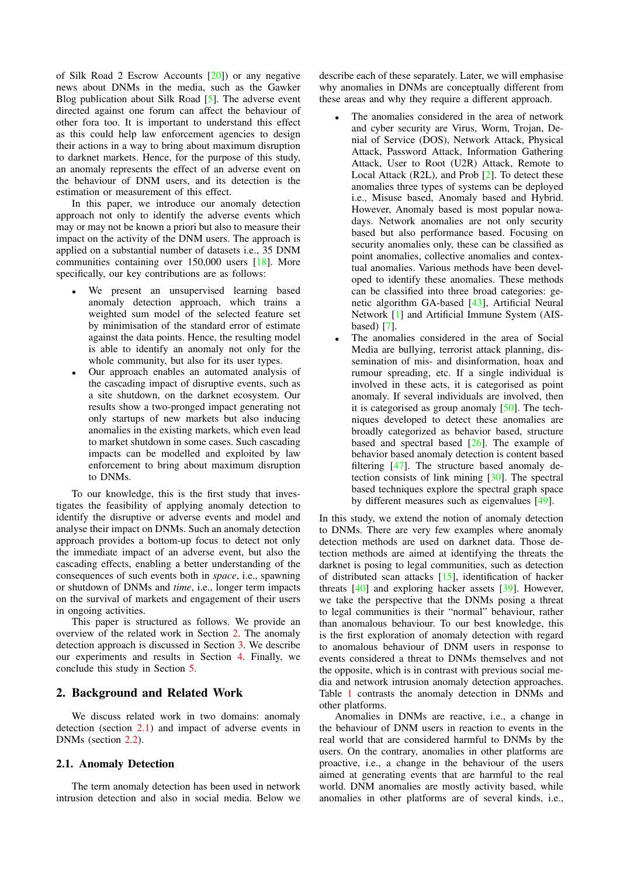of Silk Road 2 Escrow Accounts [20]) or any negative news about DNMs in the media, such as the Gawker Blog publication about Silk Road [5]. The adverse event directed against one forum can affect the behaviour of other fora too. It is important to understand this effect as this could help law enforcement agencies to design their actions in a way to bring about maximum disruption to darknet markets. Hence, for the purpose of this study, an anomaly represents the effect of an adverse event on the behaviour of DNM users, and its detection is the estimation or measurement of this effect.

In this paper, we introduce our anomaly detection approach not only to identify the adverse events which may or may not be known a priori but also to measure their impact on the activity of the DNM users. The approach is applied on a substantial number of datasets i.e., 35 DNM communities containing over 150,000 users [18]. More specifically, our key contributions are as follows:

- We present an unsupervised learning based anomaly detection approach, which trains a weighted sum model of the selected feature set by minimisation of the standard error of estimate against the data points. Hence, the resulting model is able to identify an anomaly not only for the whole community, but also for its user types.
- Our approach enables an automated analysis of the cascading impact of disruptive events, such as a site shutdown, on the darknet ecosystem. Our results show a two-pronged impact generating not only startups of new markets but also inducing anomalies in the existing markets, which even lead to market shutdown in some cases. Such cascading impacts can be modelled and exploited by law enforcement to bring about maximum disruption to DNMs.

To our knowledge, this is the first study that investigates the feasibility of applying anomaly detection to identify the disruptive or adverse events and model and analyse their impact on DNMs. Such an anomaly detection approach provides a bottom-up focus to detect not only the immediate impact of an adverse event, but also the cascading effects, enabling a better understanding of the consequences of such events both in *space*, i.e., spawning or shutdown of DNMs and *time*, i.e., longer term impacts on the survival of markets and engagement of their users in ongoing activities.

This paper is structured as follows. We provide an overview of the related work in Section 2. The anomaly detection approach is discussed in Section 3. We describe our experiments and results in Section 4. Finally, we conclude this study in Section 5.

#### 2. Background and Related Work

We discuss related work in two domains: anomaly detection (section 2.1) and impact of adverse events in DNMs (section 2.2).

#### 2.1. Anomaly Detection

The term anomaly detection has been used in network intrusion detection and also in social media. Below we describe each of these separately. Later, we will emphasise why anomalies in DNMs are conceptually different from these areas and why they require a different approach.

- The anomalies considered in the area of network and cyber security are Virus, Worm, Trojan, Denial of Service (DOS), Network Attack, Physical Attack, Password Attack, Information Gathering Attack, User to Root (U2R) Attack, Remote to Local Attack (R2L), and Prob [2]. To detect these anomalies three types of systems can be deployed i.e., Misuse based, Anomaly based and Hybrid. However, Anomaly based is most popular nowadays. Network anomalies are not only security based but also performance based. Focusing on security anomalies only, these can be classified as point anomalies, collective anomalies and contextual anomalies. Various methods have been developed to identify these anomalies. These methods can be classified into three broad categories: genetic algorithm GA-based [43], Artificial Neural Network [1] and Artificial Immune System (AISbased) [7].
- The anomalies considered in the area of Social Media are bullying, terrorist attack planning, dissemination of mis- and disinformation, hoax and rumour spreading, etc. If a single individual is involved in these acts, it is categorised as point anomaly. If several individuals are involved, then it is categorised as group anomaly  $[50]$ . The techniques developed to detect these anomalies are broadly categorized as behavior based, structure based and spectral based [26]. The example of behavior based anomaly detection is content based filtering [47]. The structure based anomaly detection consists of link mining [30]. The spectral based techniques explore the spectral graph space by different measures such as eigenvalues [49].

In this study, we extend the notion of anomaly detection to DNMs. There are very few examples where anomaly detection methods are used on darknet data. Those detection methods are aimed at identifying the threats the darknet is posing to legal communities, such as detection of distributed scan attacks [15], identification of hacker threats [40] and exploring hacker assets [39]. However, we take the perspective that the DNMs posing a threat to legal communities is their "normal" behaviour, rather than anomalous behaviour. To our best knowledge, this is the first exploration of anomaly detection with regard to anomalous behaviour of DNM users in response to events considered a threat to DNMs themselves and not the opposite, which is in contrast with previous social media and network intrusion anomaly detection approaches. Table 1 contrasts the anomaly detection in DNMs and other platforms.

Anomalies in DNMs are reactive, i.e., a change in the behaviour of DNM users in reaction to events in the real world that are considered harmful to DNMs by the users. On the contrary, anomalies in other platforms are proactive, i.e., a change in the behaviour of the users aimed at generating events that are harmful to the real world. DNM anomalies are mostly activity based, while anomalies in other platforms are of several kinds, i.e.,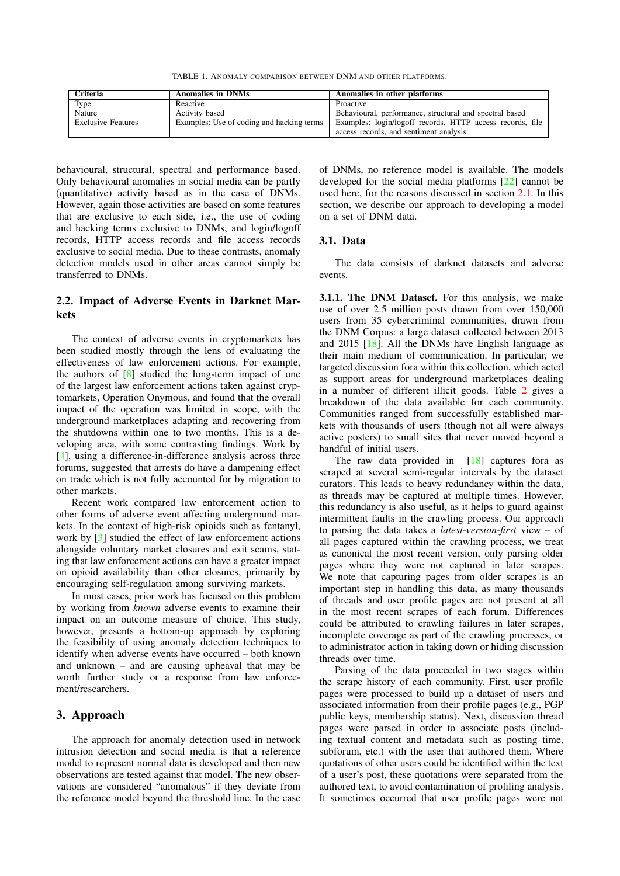TABLE 1. ANOMALY COMPARISON BETWEEN DNM AND OTHER PLATFORMS.

| Criteria                  | <b>Anomalies in DNMs</b>                  | Anomalies in other platforms                              |
|---------------------------|-------------------------------------------|-----------------------------------------------------------|
| Type                      | Reactive                                  | Proactive                                                 |
| Nature                    | Activity based                            | Behavioural, performance, structural and spectral based   |
| <b>Exclusive Features</b> | Examples: Use of coding and hacking terms | Examples: login/logoff records, HTTP access records, file |
|                           |                                           | access records, and sentiment analysis                    |

behavioural, structural, spectral and performance based. Only behavioural anomalies in social media can be partly (quantitative) activity based as in the case of DNMs. However, again those activities are based on some features that are exclusive to each side, i.e., the use of coding and hacking terms exclusive to DNMs, and login/logoff records, HTTP access records and file access records exclusive to social media. Due to these contrasts, anomaly detection models used in other areas cannot simply be transferred to DNMs.

## 2.2. Impact of Adverse Events in Darknet Markets

The context of adverse events in cryptomarkets has been studied mostly through the lens of evaluating the effectiveness of law enforcement actions. For example, the authors of [8] studied the long-term impact of one of the largest law enforcement actions taken against cryptomarkets, Operation Onymous, and found that the overall impact of the operation was limited in scope, with the underground marketplaces adapting and recovering from the shutdowns within one to two months. This is a developing area, with some contrasting findings. Work by [4], using a difference-in-difference analysis across three forums, suggested that arrests do have a dampening effect on trade which is not fully accounted for by migration to other markets.

Recent work compared law enforcement action to other forms of adverse event affecting underground markets. In the context of high-risk opioids such as fentanyl, work by [3] studied the effect of law enforcement actions alongside voluntary market closures and exit scams, stating that law enforcement actions can have a greater impact on opioid availability than other closures, primarily by encouraging self-regulation among surviving markets.

In most cases, prior work has focused on this problem by working from *known* adverse events to examine their impact on an outcome measure of choice. This study, however, presents a bottom-up approach by exploring the feasibility of using anomaly detection techniques to identify when adverse events have occurred – both known and unknown – and are causing upheaval that may be worth further study or a response from law enforcement/researchers.

#### 3. Approach

The approach for anomaly detection used in network intrusion detection and social media is that a reference model to represent normal data is developed and then new observations are tested against that model. The new observations are considered "anomalous" if they deviate from the reference model beyond the threshold line. In the case of DNMs, no reference model is available. The models developed for the social media platforms [22] cannot be used here, for the reasons discussed in section 2.1. In this section, we describe our approach to developing a model on a set of DNM data.

#### 3.1. Data

The data consists of darknet datasets and adverse events.

3.1.1. The DNM Dataset. For this analysis, we make use of over 2.5 million posts drawn from over 150,000 users from 35 cybercriminal communities, drawn from the DNM Corpus: a large dataset collected between 2013 and 2015 [18]. All the DNMs have English language as their main medium of communication. In particular, we targeted discussion fora within this collection, which acted as support areas for underground marketplaces dealing in a number of different illicit goods. Table 2 gives a breakdown of the data available for each community. Communities ranged from successfully established markets with thousands of users (though not all were always active posters) to small sites that never moved beyond a handful of initial users.

The raw data provided in [18] captures fora as scraped at several semi-regular intervals by the dataset curators. This leads to heavy redundancy within the data, as threads may be captured at multiple times. However, this redundancy is also useful, as it helps to guard against intermittent faults in the crawling process. Our approach to parsing the data takes a *latest-version-first* view – of all pages captured within the crawling process, we treat as canonical the most recent version, only parsing older pages where they were not captured in later scrapes. We note that capturing pages from older scrapes is an important step in handling this data, as many thousands of threads and user profile pages are not present at all in the most recent scrapes of each forum. Differences could be attributed to crawling failures in later scrapes, incomplete coverage as part of the crawling processes, or to administrator action in taking down or hiding discussion threads over time.

Parsing of the data proceeded in two stages within the scrape history of each community. First, user profile pages were processed to build up a dataset of users and associated information from their profile pages (e.g., PGP public keys, membership status). Next, discussion thread pages were parsed in order to associate posts (including textual content and metadata such as posting time, subforum, etc.) with the user that authored them. Where quotations of other users could be identified within the text of a user's post, these quotations were separated from the authored text, to avoid contamination of profiling analysis. It sometimes occurred that user profile pages were not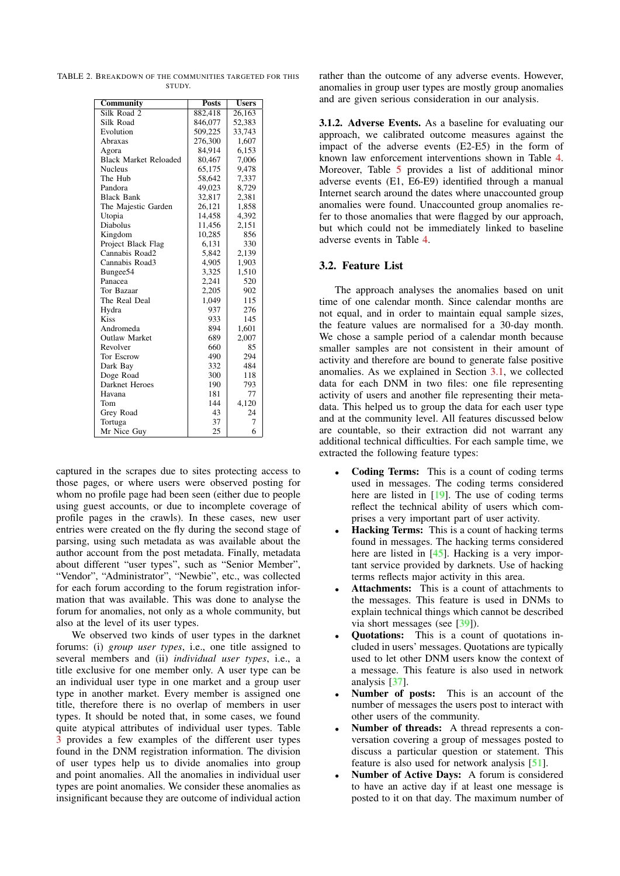TABLE 2. BREAKDOWN OF THE COMMUNITIES TARGETED FOR THIS **STUDY** 

| Community                    | <b>Posts</b> | <b>Users</b> |
|------------------------------|--------------|--------------|
| Silk Road 2                  | 882,418      | 26,163       |
| Silk Road                    | 846,077      | 52,383       |
| Evolution                    | 509,225      | 33,743       |
| Abraxas                      | 276,300      | 1,607        |
| Agora                        | 84,914       | 6,153        |
| <b>Black Market Reloaded</b> | 80,467       | 7,006        |
| <b>Nucleus</b>               | 65,175       | 9,478        |
| The Hub                      | 58,642       | 7,337        |
| Pandora                      | 49,023       | 8,729        |
| <b>Black Bank</b>            | 32,817       | 2,381        |
| The Majestic Garden          | 26,121       | 1,858        |
| Utopia                       | 14,458       | 4,392        |
| Diabolus                     | 11,456       | 2,151        |
| Kingdom                      | 10,285       | 856          |
| Project Black Flag           | 6,131        | 330          |
| Cannabis Road2               | 5,842        | 2,139        |
| Cannabis Road3               | 4,905        | 1,903        |
| Bungee <sub>54</sub>         | 3,325        | 1,510        |
| Panacea                      | 2,241        | 520          |
| Tor Bazaar                   | 2,205        | 902          |
| The Real Deal                | 1,049        | 115          |
| Hydra                        | 937          | 276          |
| <b>Kiss</b>                  | 933          | 145          |
| Andromeda                    | 894          | 1,601        |
| <b>Outlaw Market</b>         | 689          | 2,007        |
| Revolver                     | 660          | 85           |
| Tor Escrow                   | 490          | 294          |
| Dark Bay                     | 332          | 484          |
| Doge Road                    | 300          | 118          |
| Darknet Heroes               | 190          | 793          |
| Havana                       | 181          | 77           |
| Tom                          | 144          | 4,120        |
| Grey Road                    | 43           | 24           |
| Tortuga                      | 37           | 7            |
| Mr Nice Guy                  | 25           | 6            |

captured in the scrapes due to sites protecting access to those pages, or where users were observed posting for whom no profile page had been seen (either due to people using guest accounts, or due to incomplete coverage of profile pages in the crawls). In these cases, new user entries were created on the fly during the second stage of parsing, using such metadata as was available about the author account from the post metadata. Finally, metadata about different "user types", such as "Senior Member", "Vendor", "Administrator", "Newbie", etc., was collected for each forum according to the forum registration information that was available. This was done to analyse the forum for anomalies, not only as a whole community, but also at the level of its user types.

We observed two kinds of user types in the darknet forums: (i) *group user types*, i.e., one title assigned to several members and (ii) *individual user types*, i.e., a title exclusive for one member only. A user type can be an individual user type in one market and a group user type in another market. Every member is assigned one title, therefore there is no overlap of members in user types. It should be noted that, in some cases, we found quite atypical attributes of individual user types. Table 3 provides a few examples of the different user types found in the DNM registration information. The division of user types help us to divide anomalies into group and point anomalies. All the anomalies in individual user types are point anomalies. We consider these anomalies as insignificant because they are outcome of individual action rather than the outcome of any adverse events. However, anomalies in group user types are mostly group anomalies and are given serious consideration in our analysis.

3.1.2. Adverse Events. As a baseline for evaluating our approach, we calibrated outcome measures against the impact of the adverse events (E2-E5) in the form of known law enforcement interventions shown in Table 4. Moreover, Table 5 provides a list of additional minor adverse events (E1, E6-E9) identified through a manual Internet search around the dates where unaccounted group anomalies were found. Unaccounted group anomalies refer to those anomalies that were flagged by our approach, but which could not be immediately linked to baseline adverse events in Table 4.

## 3.2. Feature List

The approach analyses the anomalies based on unit time of one calendar month. Since calendar months are not equal, and in order to maintain equal sample sizes, the feature values are normalised for a 30-day month. We chose a sample period of a calendar month because smaller samples are not consistent in their amount of activity and therefore are bound to generate false positive anomalies. As we explained in Section 3.1, we collected data for each DNM in two files: one file representing activity of users and another file representing their metadata. This helped us to group the data for each user type and at the community level. All features discussed below are countable, so their extraction did not warrant any additional technical difficulties. For each sample time, we extracted the following feature types:

- Coding Terms: This is a count of coding terms used in messages. The coding terms considered here are listed in [19]. The use of coding terms reflect the technical ability of users which comprises a very important part of user activity.
- **Hacking Terms:** This is a count of hacking terms found in messages. The hacking terms considered here are listed in [45]. Hacking is a very important service provided by darknets. Use of hacking terms reflects major activity in this area.
- Attachments: This is a count of attachments to the messages. This feature is used in DNMs to explain technical things which cannot be described via short messages (see [39]).
- Quotations: This is a count of quotations included in users' messages. Quotations are typically used to let other DNM users know the context of a message. This feature is also used in network analysis [37].
- Number of posts: This is an account of the number of messages the users post to interact with other users of the community.
- Number of threads: A thread represents a conversation covering a group of messages posted to discuss a particular question or statement. This feature is also used for network analysis [51].
- Number of Active Days: A forum is considered to have an active day if at least one message is posted to it on that day. The maximum number of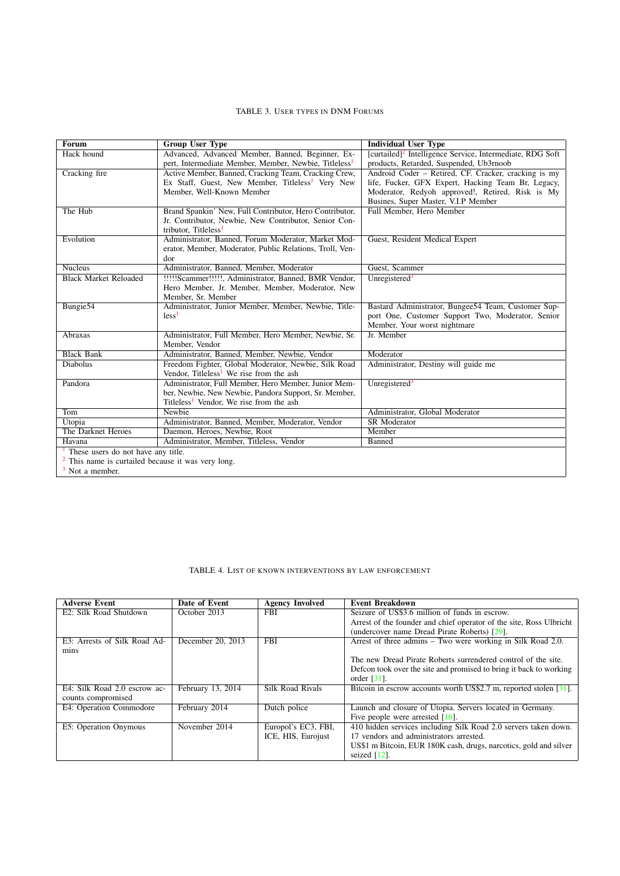#### TABLE 3. USER TYPES IN DNM FORUMS

| <b>Forum</b>                                     | <b>Group User Type</b>                                            | <b>Individual User Type</b>                                           |  |
|--------------------------------------------------|-------------------------------------------------------------------|-----------------------------------------------------------------------|--|
| Hack hound                                       | Advanced, Advanced Member, Banned, Beginner, Ex-                  | [curtailed] <sup>2</sup> Intelligence Service, Intermediate, RDG Soft |  |
|                                                  | pert, Intermediate Member, Member, Newbie, Titleless <sup>1</sup> | products, Retarded, Suspended, Ub3rnoob                               |  |
| Cracking fire                                    | Active Member, Banned, Cracking Team, Cracking Crew,              | Android Coder – Retired, CF. Cracker, cracking is my                  |  |
|                                                  | Ex Staff, Guest, New Member, Titleless <sup>1</sup> Very New      | life, Fucker, GFX Expert, Hacking Team Br, Legacy,                    |  |
|                                                  | Member, Well-Known Member                                         | Moderator, Redyoh approved!, Retired, Risk is My                      |  |
|                                                  |                                                                   | Busines, Super Master, V.I.P Member                                   |  |
| The Hub                                          | Brand Spankin' New, Full Contributor, Hero Contributor,           | Full Member, Hero Member                                              |  |
|                                                  | Jr. Contributor, Newbie, New Contributor, Senior Con-             |                                                                       |  |
|                                                  | tributor, Titleless <sup>1</sup>                                  |                                                                       |  |
| Evolution                                        | Administrator, Banned, Forum Moderator, Market Mod-               | Guest, Resident Medical Expert                                        |  |
|                                                  | erator, Member, Moderator, Public Relations, Troll, Ven-          |                                                                       |  |
|                                                  | dor                                                               |                                                                       |  |
| <b>Nucleus</b>                                   | Administrator, Banned, Member, Moderator                          | Guest, Scammer                                                        |  |
| <b>Black Market Reloaded</b>                     | !!!!!Scammer!!!!!, Administrator, Banned, BMR Vendor,             | Unregistered <sup>3</sup>                                             |  |
|                                                  | Hero Member, Jr. Member, Member, Moderator, New                   |                                                                       |  |
|                                                  | Member, Sr. Member                                                |                                                                       |  |
| Bungie <sub>54</sub>                             | Administrator, Junior Member, Member, Newbie, Title-              | Bastard Administrator, Bungee54 Team, Customer Sup-                   |  |
|                                                  | less <sup>1</sup>                                                 | port One, Customer Support Two, Moderator, Senior                     |  |
|                                                  |                                                                   | Member, Your worst nightmare                                          |  |
| Abraxas                                          | Administrator, Full Member, Hero Member, Newbie, Sr.              | Jr. Member                                                            |  |
|                                                  | Member, Vendor                                                    |                                                                       |  |
| <b>Black Bank</b>                                | Administrator, Banned, Member, Newbie, Vendor                     | Moderator                                                             |  |
| <b>Diabolus</b>                                  | Freedom Fighter, Global Moderator, Newbie, Silk Road              | Administrator, Destiny will guide me                                  |  |
|                                                  | Vendor, Titleless <sup>1</sup> We rise from the ash               |                                                                       |  |
| Pandora                                          | Administrator, Full Member, Hero Member, Junior Mem-              | Unregistered <sup>3</sup>                                             |  |
|                                                  | ber, Newbie, New Newbie, Pandora Support, Sr. Member,             |                                                                       |  |
|                                                  | Titleless <sup>1</sup> Vendor, We rise from the ash               |                                                                       |  |
| Tom                                              | Newbie                                                            | Administrator, Global Moderator                                       |  |
| Utopia                                           | Administrator, Banned, Member, Moderator, Vendor                  | <b>SR</b> Moderator                                                   |  |
| The Darknet Heroes                               | Daemon, Heroes, Newbie, Root                                      | Member                                                                |  |
| Havana                                           | Administrator, Member, Titleless, Vendor                          | Banned                                                                |  |
| These users do not have any title.               |                                                                   |                                                                       |  |
| This name is curtailed because it was very long. |                                                                   |                                                                       |  |
| Not a member.                                    |                                                                   |                                                                       |  |

 $3$  Not a member.

## TABLE 4. LIST OF KNOWN INTERVENTIONS BY LAW ENFORCEMENT

| <b>Adverse Event</b>         | Date of Event                   | <b>Agency Involved</b>  | <b>Event Breakdown</b>                                              |
|------------------------------|---------------------------------|-------------------------|---------------------------------------------------------------------|
| E2: Silk Road Shutdown       | October 2013                    | <b>FBI</b>              | Seizure of US\$3.6 million of funds in escrow.                      |
|                              |                                 |                         | Arrest of the founder and chief operator of the site, Ross Ulbricht |
|                              |                                 |                         | (undercover name Dread Pirate Roberts) [29].                        |
| E3: Arrests of Silk Road Ad- | December 20, 2013               | <b>FBI</b>              | Arrest of three admins – Two were working in Silk Road 2.0.         |
| mins                         |                                 |                         |                                                                     |
|                              |                                 |                         | The new Dread Pirate Roberts surrendered control of the site.       |
|                              |                                 |                         | Defcon took over the site and promised to bring it back to working  |
|                              |                                 |                         | order $[31]$ .                                                      |
| E4: Silk Road 2.0 escrow ac- | February $\overline{13}$ , 2014 | <b>Silk Road Rivals</b> | Bitcoin in escrow accounts worth US\$2.7 m, reported stolen [31].   |
| counts compromised           |                                 |                         |                                                                     |
| E4: Operation Commodore      | February 2014                   | Dutch police            | Launch and closure of Utopia. Servers located in Germany.           |
|                              |                                 |                         | Five people were arrested $[16]$ .                                  |
| E5: Operation Onymous        | November 2014                   | Europol's EC3, FBI,     | 410 hidden services including Silk Road 2.0 servers taken down.     |
|                              |                                 | ICE, HIS, Eurojust      | 17 vendors and administrators arrested.                             |
|                              |                                 |                         | US\$1 m Bitcoin, EUR 180K cash, drugs, narcotics, gold and silver   |
|                              |                                 |                         | seized $[12]$ .                                                     |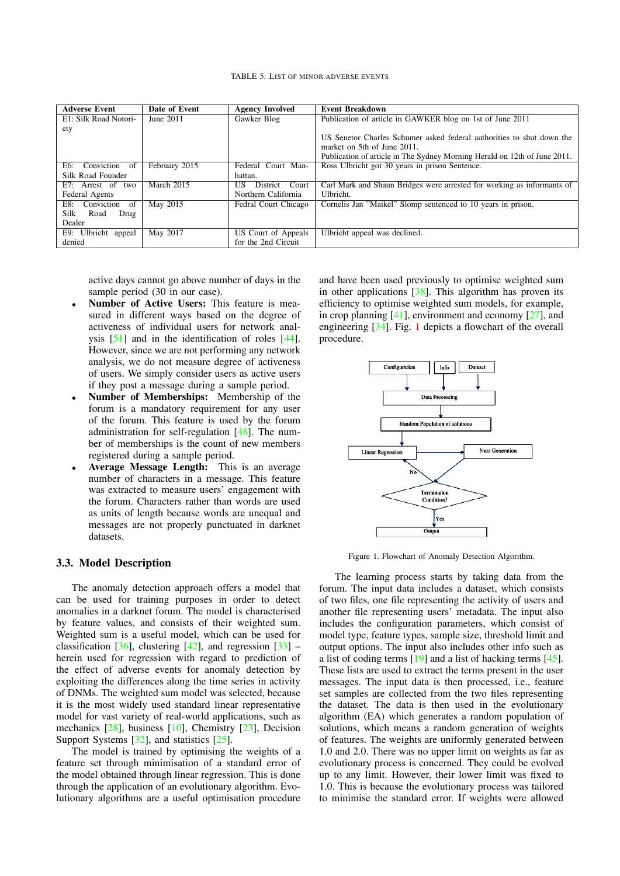| <b>Adverse Event</b>    | Date of Event | <b>Agency Involved</b> | <b>Event Breakdown</b>                                                    |
|-------------------------|---------------|------------------------|---------------------------------------------------------------------------|
| E1: Silk Road Notori-   | June 2011     | Gawker Blog            | Publication of article in GAWKER blog on 1st of June 2011                 |
| ety                     |               |                        |                                                                           |
|                         |               |                        | US Senetor Charles Schumer asked federal authorities to shut down the     |
|                         |               |                        | market on 5th of June 2011.                                               |
|                         |               |                        | Publication of article in The Sydney Morning Herald on 12th of June 2011. |
| Conviction of<br>E6:    | February 2015 | Federal Court Man-     | Ross Ulbricht got 30 years in prison Sentence.                            |
| Silk Road Founder       |               | hattan.                |                                                                           |
| E7: Arrest of two       | March 2015    | District Court<br>US.  | Carl Mark and Shaun Bridges were arrested for working as informants of    |
| Federal Agents          |               | Northern California    | Ulbricht.                                                                 |
| Conviction<br>of<br>E8: | May 2015      | Fedral Court Chicago   | Cornelis Jan "Maikel" Slomp sentenced to 10 years in prison.              |
| Silk<br>Road<br>Drug    |               |                        |                                                                           |
| Dealer                  |               |                        |                                                                           |
| E9: Ulbricht appeal     | May 2017      | US Court of Appeals    | Ulbricht appeal was declined.                                             |
| denied                  |               | for the 2nd Circuit    |                                                                           |

active days cannot go above number of days in the sample period (30 in our case).

- Number of Active Users: This feature is measured in different ways based on the degree of activeness of individual users for network analysis [51] and in the identification of roles [44]. However, since we are not performing any network analysis, we do not measure degree of activeness of users. We simply consider users as active users if they post a message during a sample period.
- Number of Memberships: Membership of the forum is a mandatory requirement for any user of the forum. This feature is used by the forum administration for self-regulation [48]. The number of memberships is the count of new members registered during a sample period.
- Average Message Length: This is an average number of characters in a message. This feature was extracted to measure users' engagement with the forum. Characters rather than words are used as units of length because words are unequal and messages are not properly punctuated in darknet datasets.

#### 3.3. Model Description

The anomaly detection approach offers a model that can be used for training purposes in order to detect anomalies in a darknet forum. The model is characterised by feature values, and consists of their weighted sum. Weighted sum is a useful model, which can be used for classification  $[36]$ , clustering  $[42]$ , and regression  $[33]$  – herein used for regression with regard to prediction of the effect of adverse events for anomaly detection by exploiting the differences along the time series in activity of DNMs. The weighted sum model was selected, because it is the most widely used standard linear representative model for vast variety of real-world applications, such as mechanics [28], business [10], Chemistry [23], Decision Support Systems [32], and statistics [25].

The model is trained by optimising the weights of a feature set through minimisation of a standard error of the model obtained through linear regression. This is done through the application of an evolutionary algorithm. Evolutionary algorithms are a useful optimisation procedure and have been used previously to optimise weighted sum in other applications  $[38]$ . This algorithm has proven its efficiency to optimise weighted sum models, for example, in crop planning [41], environment and economy [27], and engineering [34]. Fig. 1 depicts a flowchart of the overall procedure.



Figure 1. Flowchart of Anomaly Detection Algorithm.

The learning process starts by taking data from the forum. The input data includes a dataset, which consists of two files, one file representing the activity of users and another file representing users' metadata. The input also includes the configuration parameters, which consist of model type, feature types, sample size, threshold limit and output options. The input also includes other info such as a list of coding terms [19] and a list of hacking terms [45]. These lists are used to extract the terms present in the user messages. The input data is then processed, i.e., feature set samples are collected from the two files representing the dataset. The data is then used in the evolutionary algorithm (EA) which generates a random population of solutions, which means a random generation of weights of features. The weights are uniformly generated between 1.0 and 2.0. There was no upper limit on weights as far as evolutionary process is concerned. They could be evolved up to any limit. However, their lower limit was fixed to 1.0. This is because the evolutionary process was tailored to minimise the standard error. If weights were allowed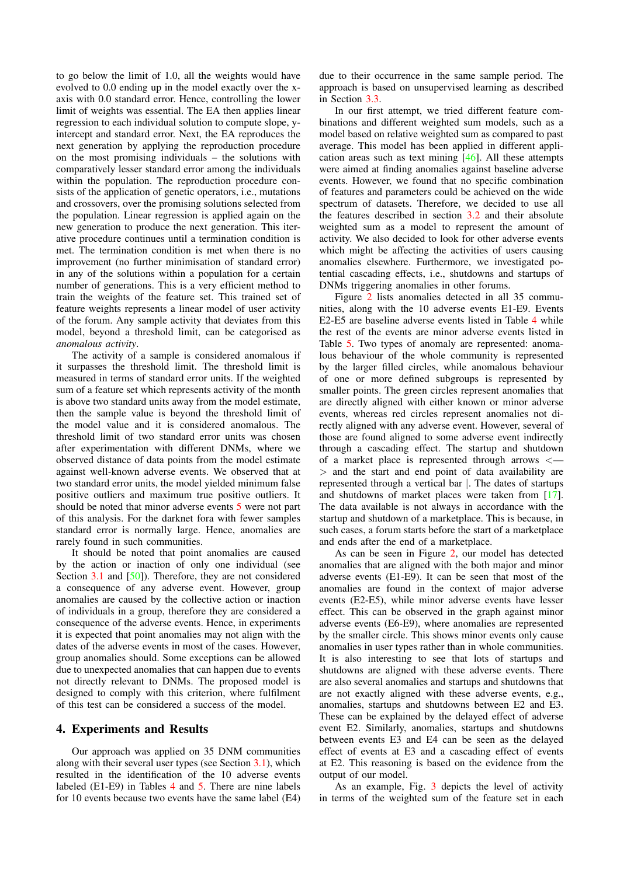to go below the limit of 1.0, all the weights would have evolved to 0.0 ending up in the model exactly over the xaxis with 0.0 standard error. Hence, controlling the lower limit of weights was essential. The EA then applies linear regression to each individual solution to compute slope, yintercept and standard error. Next, the EA reproduces the next generation by applying the reproduction procedure on the most promising individuals – the solutions with comparatively lesser standard error among the individuals within the population. The reproduction procedure consists of the application of genetic operators, i.e., mutations and crossovers, over the promising solutions selected from the population. Linear regression is applied again on the new generation to produce the next generation. This iterative procedure continues until a termination condition is met. The termination condition is met when there is no improvement (no further minimisation of standard error) in any of the solutions within a population for a certain number of generations. This is a very efficient method to train the weights of the feature set. This trained set of feature weights represents a linear model of user activity of the forum. Any sample activity that deviates from this model, beyond a threshold limit, can be categorised as *anomalous activity*.

The activity of a sample is considered anomalous if it surpasses the threshold limit. The threshold limit is measured in terms of standard error units. If the weighted sum of a feature set which represents activity of the month is above two standard units away from the model estimate, then the sample value is beyond the threshold limit of the model value and it is considered anomalous. The threshold limit of two standard error units was chosen after experimentation with different DNMs, where we observed distance of data points from the model estimate against well-known adverse events. We observed that at two standard error units, the model yielded minimum false positive outliers and maximum true positive outliers. It should be noted that minor adverse events 5 were not part of this analysis. For the darknet fora with fewer samples standard error is normally large. Hence, anomalies are rarely found in such communities.

It should be noted that point anomalies are caused by the action or inaction of only one individual (see Section 3.1 and [50]). Therefore, they are not considered a consequence of any adverse event. However, group anomalies are caused by the collective action or inaction of individuals in a group, therefore they are considered a consequence of the adverse events. Hence, in experiments it is expected that point anomalies may not align with the dates of the adverse events in most of the cases. However, group anomalies should. Some exceptions can be allowed due to unexpected anomalies that can happen due to events not directly relevant to DNMs. The proposed model is designed to comply with this criterion, where fulfilment of this test can be considered a success of the model.

#### 4. Experiments and Results

Our approach was applied on 35 DNM communities along with their several user types (see Section 3.1), which resulted in the identification of the 10 adverse events labeled (E1-E9) in Tables 4 and 5. There are nine labels for 10 events because two events have the same label (E4) due to their occurrence in the same sample period. The approach is based on unsupervised learning as described in Section 3.3.

In our first attempt, we tried different feature combinations and different weighted sum models, such as a model based on relative weighted sum as compared to past average. This model has been applied in different application areas such as text mining [46]. All these attempts were aimed at finding anomalies against baseline adverse events. However, we found that no specific combination of features and parameters could be achieved on the wide spectrum of datasets. Therefore, we decided to use all the features described in section 3.2 and their absolute weighted sum as a model to represent the amount of activity. We also decided to look for other adverse events which might be affecting the activities of users causing anomalies elsewhere. Furthermore, we investigated potential cascading effects, i.e., shutdowns and startups of DNMs triggering anomalies in other forums.

Figure 2 lists anomalies detected in all 35 communities, along with the 10 adverse events E1-E9. Events E2-E5 are baseline adverse events listed in Table 4 while the rest of the events are minor adverse events listed in Table 5. Two types of anomaly are represented: anomalous behaviour of the whole community is represented by the larger filled circles, while anomalous behaviour of one or more defined subgroups is represented by smaller points. The green circles represent anomalies that are directly aligned with either known or minor adverse events, whereas red circles represent anomalies not directly aligned with any adverse event. However, several of those are found aligned to some adverse event indirectly through a cascading effect. The startup and shutdown of a market place is represented through arrows <— > and the start and end point of data availability are represented through a vertical bar |. The dates of startups and shutdowns of market places were taken from [17]. The data available is not always in accordance with the startup and shutdown of a marketplace. This is because, in such cases, a forum starts before the start of a marketplace and ends after the end of a marketplace.

As can be seen in Figure 2, our model has detected anomalies that are aligned with the both major and minor adverse events (E1-E9). It can be seen that most of the anomalies are found in the context of major adverse events (E2-E5), while minor adverse events have lesser effect. This can be observed in the graph against minor adverse events (E6-E9), where anomalies are represented by the smaller circle. This shows minor events only cause anomalies in user types rather than in whole communities. It is also interesting to see that lots of startups and shutdowns are aligned with these adverse events. There are also several anomalies and startups and shutdowns that are not exactly aligned with these adverse events, e.g., anomalies, startups and shutdowns between E2 and E3. These can be explained by the delayed effect of adverse event E2. Similarly, anomalies, startups and shutdowns between events E3 and E4 can be seen as the delayed effect of events at E3 and a cascading effect of events at E2. This reasoning is based on the evidence from the output of our model.

As an example, Fig. 3 depicts the level of activity in terms of the weighted sum of the feature set in each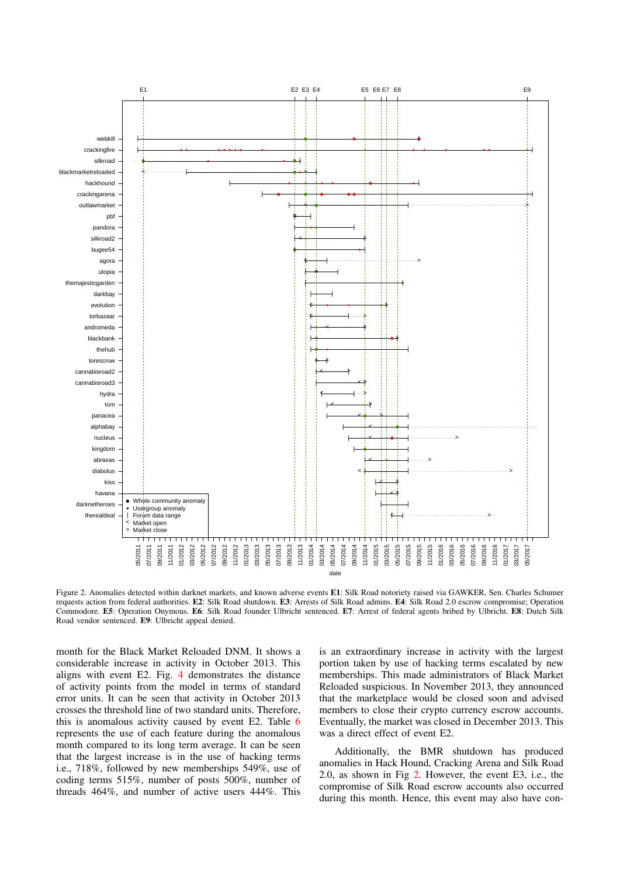

Figure 2. Anomalies detected within darknet markets, and known adverse events E1: Silk Road notoriety raised via GAWKER, Sen. Charles Schumer requests action from federal authorities. E2: Silk Road shutdown. E3: Arrests of Silk Road admins. E4: Silk Road 2.0 escrow compromise; Operation Commodore. E5: Operation Onymous. E6: Silk Road founder Ulbricht sentenced. E7: Arrest of federal agents bribed by Ulbricht. E8: Dutch Silk Road vendor sentenced. E9: Ulbricht appeal denied.

month for the Black Market Reloaded DNM. It shows a considerable increase in activity in October 2013. This aligns with event E2. Fig. 4 demonstrates the distance of activity points from the model in terms of standard error units. It can be seen that activity in October 2013 crosses the threshold line of two standard units. Therefore, this is anomalous activity caused by event E2. Table 6 represents the use of each feature during the anomalous month compared to its long term average. It can be seen that the largest increase is in the use of hacking terms i.e., 718%, followed by new memberships 549%, use of coding terms 515%, number of posts 500%, number of threads 464%, and number of active users 444%. This

is an extraordinary increase in activity with the largest portion taken by use of hacking terms escalated by new memberships. This made administrators of Black Market Reloaded suspicious. In November 2013, they announced that the marketplace would be closed soon and advised members to close their crypto currency escrow accounts. Eventually, the market was closed in December 2013. This was a direct effect of event E2.

Additionally, the BMR shutdown has produced anomalies in Hack Hound, Cracking Arena and Silk Road 2.0, as shown in Fig 2. However, the event E3, i.e., the compromise of Silk Road escrow accounts also occurred during this month. Hence, this event may also have con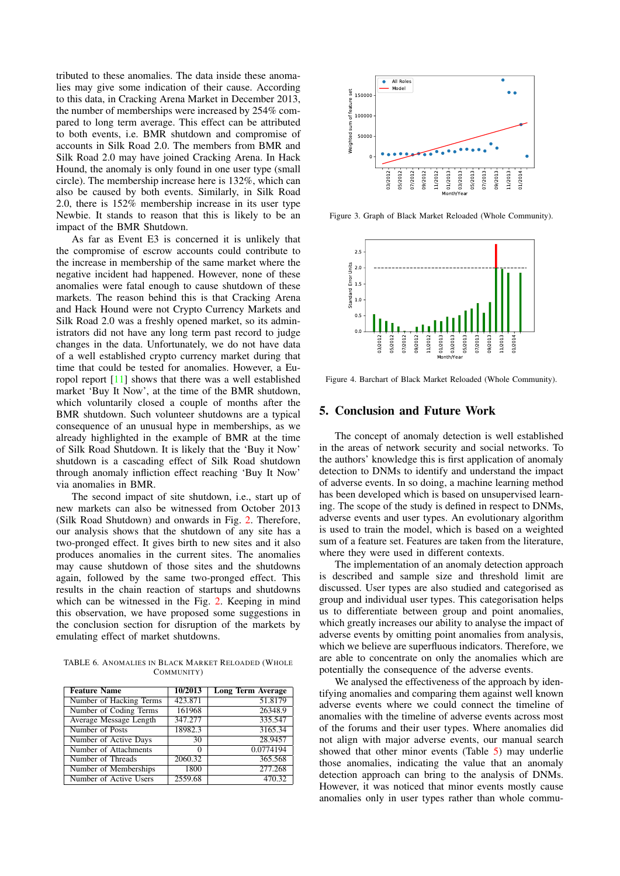tributed to these anomalies. The data inside these anomalies may give some indication of their cause. According to this data, in Cracking Arena Market in December 2013, the number of memberships were increased by 254% compared to long term average. This effect can be attributed to both events, i.e. BMR shutdown and compromise of accounts in Silk Road 2.0. The members from BMR and Silk Road 2.0 may have joined Cracking Arena. In Hack Hound, the anomaly is only found in one user type (small circle). The membership increase here is 132%, which can also be caused by both events. Similarly, in Silk Road 2.0, there is 152% membership increase in its user type Newbie. It stands to reason that this is likely to be an impact of the BMR Shutdown.

As far as Event E3 is concerned it is unlikely that the compromise of escrow accounts could contribute to the increase in membership of the same market where the negative incident had happened. However, none of these anomalies were fatal enough to cause shutdown of these markets. The reason behind this is that Cracking Arena and Hack Hound were not Crypto Currency Markets and Silk Road 2.0 was a freshly opened market, so its administrators did not have any long term past record to judge changes in the data. Unfortunately, we do not have data of a well established crypto currency market during that time that could be tested for anomalies. However, a Europol report [11] shows that there was a well established market 'Buy It Now', at the time of the BMR shutdown, which voluntarily closed a couple of months after the BMR shutdown. Such volunteer shutdowns are a typical consequence of an unusual hype in memberships, as we already highlighted in the example of BMR at the time of Silk Road Shutdown. It is likely that the 'Buy it Now' shutdown is a cascading effect of Silk Road shutdown through anomaly infliction effect reaching 'Buy It Now' via anomalies in BMR. No. The membership measure is in 132%, which can be the state of the state of Active Users 252.8 ( $\frac{3}{2}$  of  $\frac{3}{2}$  of  $\frac{3}{2}$  of the SMR Schotlands of the SMR Schotlands of the SMR Schotlands of the SMR Schotlands

The second impact of site shutdown, i.e., start up of new markets can also be witnessed from October 2013 (Silk Road Shutdown) and onwards in Fig. 2. Therefore, our analysis shows that the shutdown of any site has a two-pronged effect. It gives birth to new sites and it also produces anomalies in the current sites. The anomalies may cause shutdown of those sites and the shutdowns again, followed by the same two-pronged effect. This results in the chain reaction of startups and shutdowns which can be witnessed in the Fig. 2. Keeping in mind this observation, we have proposed some suggestions in the conclusion section for disruption of the markets by emulating effect of market shutdowns.

TABLE 6. ANOMALIES IN BLACK MARKET RELOADED (WHOLE COMMUNITY)

| <b>Feature Name</b>     | 10/2013 | <b>Long Term Average</b> |
|-------------------------|---------|--------------------------|
| Number of Hacking Terms | 423.871 | 51.8179                  |
| Number of Coding Terms  | 161968  | 26348.9                  |
| Average Message Length  | 347.277 | 335.547                  |
| Number of Posts         | 18982.3 | 3165.34                  |
| Number of Active Days   | 30      | 28.9457                  |
| Number of Attachments   | 0       | 0.0774194                |
| Number of Threads       | 2060.32 | 365.568                  |
| Number of Memberships   | 1800    | 277.268                  |
| Number of Active Users  | 2559.68 | 470.32                   |



Figure 3. Graph of Black Market Reloaded (Whole Community).



Figure 4. Barchart of Black Market Reloaded (Whole Community).

#### 5. Conclusion and Future Work

The concept of anomaly detection is well established in the areas of network security and social networks. To the authors' knowledge this is first application of anomaly detection to DNMs to identify and understand the impact of adverse events. In so doing, a machine learning method has been developed which is based on unsupervised learning. The scope of the study is defined in respect to DNMs, adverse events and user types. An evolutionary algorithm is used to train the model, which is based on a weighted sum of a feature set. Features are taken from the literature, where they were used in different contexts.

The implementation of an anomaly detection approach is described and sample size and threshold limit are discussed. User types are also studied and categorised as group and individual user types. This categorisation helps us to differentiate between group and point anomalies, which greatly increases our ability to analyse the impact of adverse events by omitting point anomalies from analysis, which we believe are superfluous indicators. Therefore, we are able to concentrate on only the anomalies which are potentially the consequence of the adverse events.

We analysed the effectiveness of the approach by identifying anomalies and comparing them against well known adverse events where we could connect the timeline of anomalies with the timeline of adverse events across most of the forums and their user types. Where anomalies did not align with major adverse events, our manual search showed that other minor events (Table 5) may underlie those anomalies, indicating the value that an anomaly detection approach can bring to the analysis of DNMs. However, it was noticed that minor events mostly cause anomalies only in user types rather than whole commu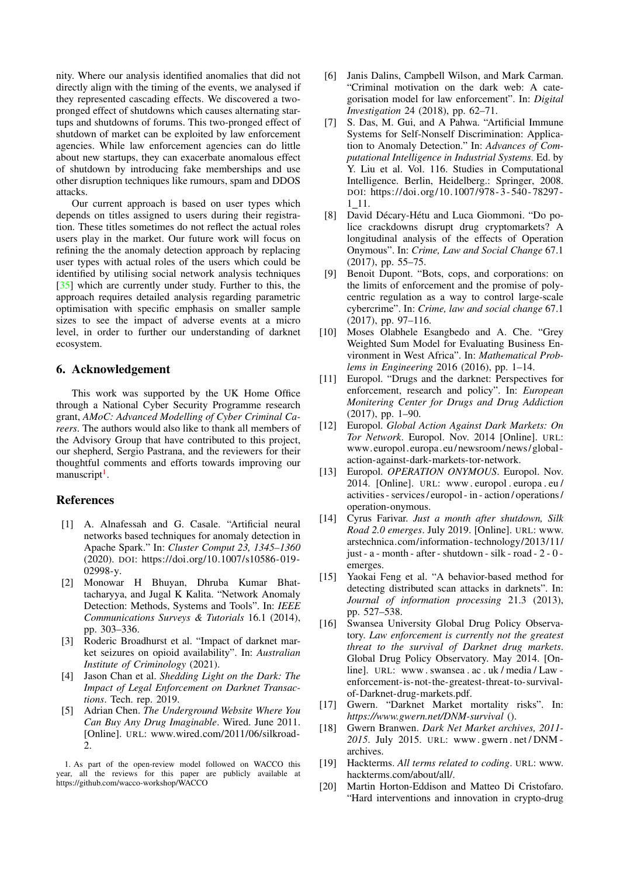nity. Where our analysis identified anomalies that did not directly align with the timing of the events, we analysed if they represented cascading effects. We discovered a twopronged effect of shutdowns which causes alternating startups and shutdowns of forums. This two-pronged effect of shutdown of market can be exploited by law enforcement agencies. While law enforcement agencies can do little about new startups, they can exacerbate anomalous effect of shutdown by introducing fake memberships and use other disruption techniques like rumours, spam and DDOS attacks.

Our current approach is based on user types which depends on titles assigned to users during their registration. These titles sometimes do not reflect the actual roles users play in the market. Our future work will focus on refining the the anomaly detection approach by replacing user types with actual roles of the users which could be identified by utilising social network analysis techniques [35] which are currently under study. Further to this, the approach requires detailed analysis regarding parametric optimisation with specific emphasis on smaller sample sizes to see the impact of adverse events at a micro level, in order to further our understanding of darknet ecosystem.

## 6. Acknowledgement

This work was supported by the UK Home Office through a National Cyber Security Programme research grant, *AMoC: Advanced Modelling of Cyber Criminal Careers*. The authors would also like to thank all members of the Advisory Group that have contributed to this project, our shepherd, Sergio Pastrana, and the reviewers for their thoughtful comments and efforts towards improving our manuscript<sup>1</sup>.

### References

- [1] A. Alnafessah and G. Casale. "Artificial neural networks based techniques for anomaly detection in Apache Spark." In: *Cluster Comput 23, 1345–1360* (2020). DOI: https://doi.org/10.1007/s10586-019- 02998-y.
- [2] Monowar H Bhuyan, Dhruba Kumar Bhattacharyya, and Jugal K Kalita. "Network Anomaly Detection: Methods, Systems and Tools". In: *IEEE Communications Surveys & Tutorials* 16.1 (2014), pp. 303–336.
- [3] Roderic Broadhurst et al. "Impact of darknet market seizures on opioid availability". In: *Australian Institute of Criminology* (2021).
- [4] Jason Chan et al. *Shedding Light on the Dark: The Impact of Legal Enforcement on Darknet Transactions*. Tech. rep. 2019.
- [5] Adrian Chen. *The Underground Website Where You Can Buy Any Drug Imaginable*. Wired. June 2011. [Online]. URL: www.wired.com/2011/06/silkroad-2.

1. As part of the open-review model followed on WACCO this year, all the reviews for this paper are publicly available at https://github.com/wacco-workshop/WACCO

- [6] Janis Dalins, Campbell Wilson, and Mark Carman. "Criminal motivation on the dark web: A categorisation model for law enforcement". In: *Digital Investigation* 24 (2018), pp. 62–71.
- [7] S. Das, M. Gui, and A Pahwa. "Artificial Immune Systems for Self-Nonself Discrimination: Application to Anomaly Detection." In: *Advances of Computational Intelligence in Industrial Systems.* Ed. by Y. Liu et al. Vol. 116. Studies in Computational Intelligence. Berlin, Heidelberg.: Springer, 2008. DOI: https://doi.org/10.1007/978- 3- 540- 78297-  $1\_11$ .
- [8] David Décary-Hétu and Luca Giommoni. "Do police crackdowns disrupt drug cryptomarkets? A longitudinal analysis of the effects of Operation Onymous". In: *Crime, Law and Social Change* 67.1 (2017), pp. 55–75.
- [9] Benoit Dupont. "Bots, cops, and corporations: on the limits of enforcement and the promise of polycentric regulation as a way to control large-scale cybercrime". In: *Crime, law and social change* 67.1 (2017), pp. 97–116.
- [10] Moses Olabhele Esangbedo and A. Che. "Grey Weighted Sum Model for Evaluating Business Environment in West Africa". In: *Mathematical Problems in Engineering* 2016 (2016), pp. 1–14.
- [11] Europol. "Drugs and the darknet: Perspectives for enforcement, research and policy". In: *European Monitering Center for Drugs and Drug Addiction* (2017), pp. 1–90.
- [12] Europol. *Global Action Against Dark Markets: On Tor Network*. Europol. Nov. 2014 [Online]. URL: www.europol.europa.eu/ newsroom/ news/ global action-against-dark-markets-tor-network.
- [13] Europol. *OPERATION ONYMOUS*. Europol. Nov. 2014. [Online]. URL: www . europol . europa . eu / activities - services / europol - in - action / operations / operation-onymous.
- [14] Cyrus Farivar. *Just a month after shutdown, Silk Road 2.0 emerges*. July 2019. [Online]. URL: www. arstechnica.com/information-technology/2013/11/ just - a - month - after - shutdown - silk - road - 2 - 0 emerges.
- [15] Yaokai Feng et al. "A behavior-based method for detecting distributed scan attacks in darknets". In: *Journal of information processing* 21.3 (2013), pp. 527–538.
- [16] Swansea University Global Drug Policy Observatory. *Law enforcement is currently not the greatest threat to the survival of Darknet drug markets*. Global Drug Policy Observatory. May 2014. [Online]. URL: www . swansea . ac . uk / media / Law enforcement-is-not-the-greatest-threat-to-survivalof-Darknet-drug-markets.pdf.
- [17] Gwern. "Darknet Market mortality risks". In: *https://www.gwern.net/DNM-survival* ().
- [18] Gwern Branwen. *Dark Net Market archives, 2011- 2015*. July 2015. URL: www. gwern . net / DNM archives.
- [19] Hackterms. *All terms related to coding*. URL: www. hackterms.com/about/all/.
- [20] Martin Horton-Eddison and Matteo Di Cristofaro. "Hard interventions and innovation in crypto-drug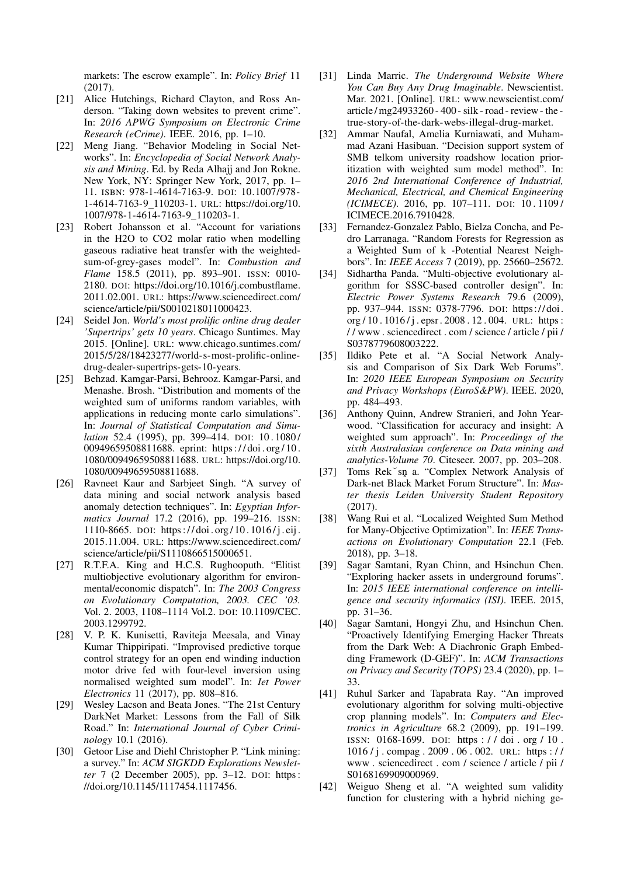markets: The escrow example". In: *Policy Brief* 11 (2017).

- [21] Alice Hutchings, Richard Clayton, and Ross Anderson. "Taking down websites to prevent crime". In: *2016 APWG Symposium on Electronic Crime Research (eCrime)*. IEEE. 2016, pp. 1–10.
- [22] Meng Jiang. "Behavior Modeling in Social Networks". In: *Encyclopedia of Social Network Analysis and Mining*. Ed. by Reda Alhajj and Jon Rokne. New York, NY: Springer New York, 2017, pp. 1– 11. ISBN: 978-1-4614-7163-9. DOI: 10.1007/978- 1-4614-7163-9 110203-1. URL: https://doi.org/10. 1007/978-1-4614-7163-9 110203-1.
- [23] Robert Johansson et al. "Account for variations in the H2O to CO2 molar ratio when modelling gaseous radiative heat transfer with the weightedsum-of-grey-gases model". In: *Combustion and Flame* 158.5 (2011), pp. 893–901. ISSN: 0010- 2180. DOI: https://doi.org/10.1016/j.combustflame. 2011.02.001. URL: https://www.sciencedirect.com/ science/article/pii/S0010218011000423.
- [24] Seidel Jon. *World's most prolific online drug dealer 'Supertrips' gets 10 years*. Chicago Suntimes. May 2015. [Online]. URL: www.chicago.suntimes.com/ 2015/5/28/18423277/world-s-most-prolific-onlinedrug-dealer-supertrips-gets-10-years.
- [25] Behzad. Kamgar-Parsi, Behrooz. Kamgar-Parsi, and Menashe. Brosh. "Distribution and moments of the weighted sum of uniforms random variables, with applications in reducing monte carlo simulations". In: *Journal of Statistical Computation and Simulation* 52.4 (1995), pp. 399-414. DOI: 10.1080/ 00949659508811688. eprint: https : / / doi . org / 10 . 1080/00949659508811688. URL: https://doi.org/10. 1080/00949659508811688.
- [26] Ravneet Kaur and Sarbjeet Singh. "A survey of data mining and social network analysis based anomaly detection techniques". In: *Egyptian Informatics Journal* 17.2 (2016), pp. 199–216. ISSN: 1110-8665. DOI: https : / / doi . org / 10 . 1016 / j . eij . 2015.11.004. URL: https://www.sciencedirect.com/ science/article/pii/S1110866515000651.
- [27] R.T.F.A. King and H.C.S. Rughooputh. "Elitist" multiobjective evolutionary algorithm for environmental/economic dispatch". In: *The 2003 Congress on Evolutionary Computation, 2003. CEC '03.* Vol. 2. 2003, 1108–1114 Vol.2. DOI: 10.1109/CEC. 2003.1299792.
- [28] V. P. K. Kunisetti, Raviteja Meesala, and Vinay Kumar Thippiripati. "Improvised predictive torque control strategy for an open end winding induction motor drive fed with four-level inversion using normalised weighted sum model". In: *Iet Power Electronics* 11 (2017), pp. 808–816.
- [29] Wesley Lacson and Beata Jones. "The 21st Century DarkNet Market: Lessons from the Fall of Silk Road." In: *International Journal of Cyber Criminology* 10.1 (2016).
- [30] Getoor Lise and Diehl Christopher P. "Link mining: a survey." In: *ACM SIGKDD Explorations Newsletter* 7 (2 December 2005), pp. 3–12. DOI: https : //doi.org/10.1145/1117454.1117456.
- [31] Linda Marric. *The Underground Website Where You Can Buy Any Drug Imaginable*. Newscientist. Mar. 2021. [Online]. URL: www.newscientist.com/ article / mg24933260 - 400 - silk - road - review - the true-story-of-the-dark-webs-illegal-drug-market.
- [32] Ammar Naufal, Amelia Kurniawati, and Muhammad Azani Hasibuan. "Decision support system of SMB telkom university roadshow location prioritization with weighted sum model method". In: *2016 2nd International Conference of Industrial, Mechanical, Electrical, and Chemical Engineering (ICIMECE)*. 2016, pp. 107–111. DOI: 10 . 1109 / ICIMECE.2016.7910428.
- [33] Fernandez-Gonzalez Pablo, Bielza Concha, and Pedro Larranaga. "Random Forests for Regression as a Weighted Sum of k -Potential Nearest Neighbors". In: *IEEE Access* 7 (2019), pp. 25660–25672.
- [34] Sidhartha Panda. "Multi-objective evolutionary algorithm for SSSC-based controller design". In: *Electric Power Systems Research* 79.6 (2009), pp. 937–944. ISSN: 0378-7796. DOI: https:// doi. org / 10 . 1016 / j . epsr . 2008 . 12 . 004. URL: https : / / www . sciencedirect . com / science / article / pii / S0378779608003222.
- [35] Ildiko Pete et al. "A Social Network Analysis and Comparison of Six Dark Web Forums". In: *2020 IEEE European Symposium on Security and Privacy Workshops (EuroS&PW)*. IEEE. 2020, pp. 484–493.
- [36] Anthony Quinn, Andrew Stranieri, and John Yearwood. "Classification for accuracy and insight: A weighted sum approach". In: *Proceedings of the sixth Australasian conference on Data mining and analytics-Volume 70*. Citeseer. 2007, pp. 203–208.
- [37] Toms Rek sn a. "Complex Network Analysis of Dark-net Black Market Forum Structure". In: *Master thesis Leiden University Student Repository* (2017).
- [38] Wang Rui et al. "Localized Weighted Sum Method for Many-Objective Optimization". In: *IEEE Transactions on Evolutionary Computation* 22.1 (Feb. 2018), pp. 3–18.
- [39] Sagar Samtani, Ryan Chinn, and Hsinchun Chen. "Exploring hacker assets in underground forums". In: *2015 IEEE international conference on intelligence and security informatics (ISI)*. IEEE. 2015, pp. 31–36.
- [40] Sagar Samtani, Hongyi Zhu, and Hsinchun Chen. "Proactively Identifying Emerging Hacker Threats from the Dark Web: A Diachronic Graph Embedding Framework (D-GEF)". In: *ACM Transactions on Privacy and Security (TOPS)* 23.4 (2020), pp. 1– 33.
- [41] Ruhul Sarker and Tapabrata Ray. "An improved evolutionary algorithm for solving multi-objective crop planning models". In: *Computers and Electronics in Agriculture* 68.2 (2009), pp. 191–199. ISSN: 0168-1699. DOI: https : / / doi . org / 10 . 1016 / j . compag . 2009 . 06 . 002. URL: https : / / www . sciencedirect . com / science / article / pii / S0168169909000969.
- [42] Weiguo Sheng et al. "A weighted sum validity function for clustering with a hybrid niching ge-